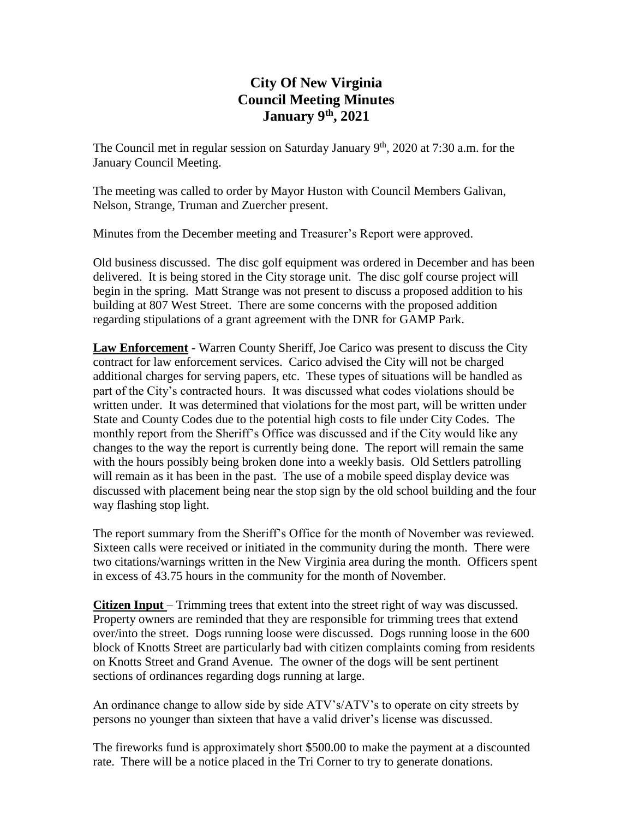## **City Of New Virginia Council Meeting Minutes January 9th , 2021**

The Council met in regular session on Saturday January  $9<sup>th</sup>$ , 2020 at 7:30 a.m. for the January Council Meeting.

The meeting was called to order by Mayor Huston with Council Members Galivan, Nelson, Strange, Truman and Zuercher present.

Minutes from the December meeting and Treasurer's Report were approved.

Old business discussed. The disc golf equipment was ordered in December and has been delivered. It is being stored in the City storage unit. The disc golf course project will begin in the spring. Matt Strange was not present to discuss a proposed addition to his building at 807 West Street. There are some concerns with the proposed addition regarding stipulations of a grant agreement with the DNR for GAMP Park.

**Law Enforcement -** Warren County Sheriff, Joe Carico was present to discuss the City contract for law enforcement services. Carico advised the City will not be charged additional charges for serving papers, etc. These types of situations will be handled as part of the City's contracted hours. It was discussed what codes violations should be written under. It was determined that violations for the most part, will be written under State and County Codes due to the potential high costs to file under City Codes. The monthly report from the Sheriff's Office was discussed and if the City would like any changes to the way the report is currently being done. The report will remain the same with the hours possibly being broken done into a weekly basis. Old Settlers patrolling will remain as it has been in the past. The use of a mobile speed display device was discussed with placement being near the stop sign by the old school building and the four way flashing stop light.

The report summary from the Sheriff's Office for the month of November was reviewed. Sixteen calls were received or initiated in the community during the month. There were two citations/warnings written in the New Virginia area during the month. Officers spent in excess of 43.75 hours in the community for the month of November.

**Citizen Input** – Trimming trees that extent into the street right of way was discussed. Property owners are reminded that they are responsible for trimming trees that extend over/into the street. Dogs running loose were discussed. Dogs running loose in the 600 block of Knotts Street are particularly bad with citizen complaints coming from residents on Knotts Street and Grand Avenue. The owner of the dogs will be sent pertinent sections of ordinances regarding dogs running at large.

An ordinance change to allow side by side ATV's/ATV's to operate on city streets by persons no younger than sixteen that have a valid driver's license was discussed.

The fireworks fund is approximately short \$500.00 to make the payment at a discounted rate. There will be a notice placed in the Tri Corner to try to generate donations.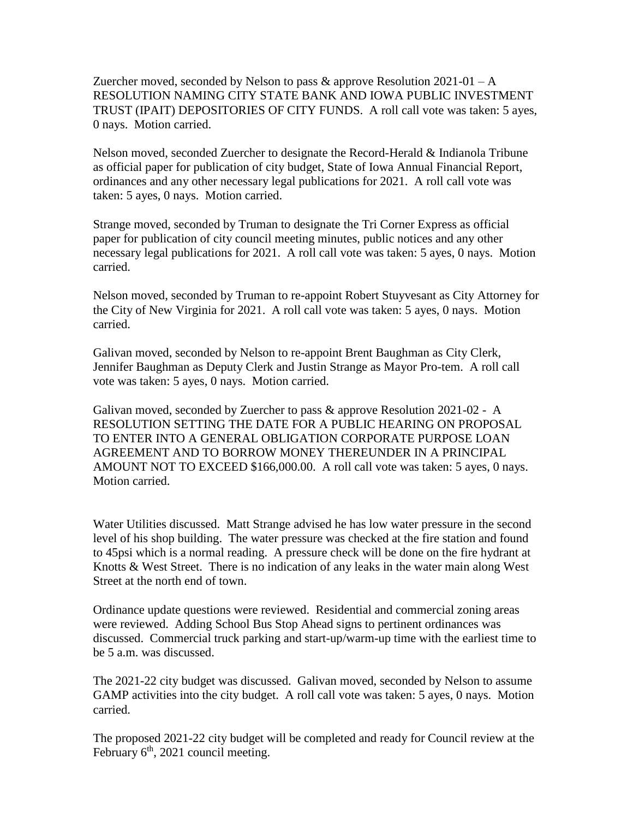Zuercher moved, seconded by Nelson to pass & approve Resolution  $2021-01 - A$ RESOLUTION NAMING CITY STATE BANK AND IOWA PUBLIC INVESTMENT TRUST (IPAIT) DEPOSITORIES OF CITY FUNDS. A roll call vote was taken: 5 ayes, 0 nays. Motion carried.

Nelson moved, seconded Zuercher to designate the Record-Herald & Indianola Tribune as official paper for publication of city budget, State of Iowa Annual Financial Report, ordinances and any other necessary legal publications for 2021. A roll call vote was taken: 5 ayes, 0 nays. Motion carried.

Strange moved, seconded by Truman to designate the Tri Corner Express as official paper for publication of city council meeting minutes, public notices and any other necessary legal publications for 2021. A roll call vote was taken: 5 ayes, 0 nays. Motion carried.

Nelson moved, seconded by Truman to re-appoint Robert Stuyvesant as City Attorney for the City of New Virginia for 2021. A roll call vote was taken: 5 ayes, 0 nays. Motion carried.

Galivan moved, seconded by Nelson to re-appoint Brent Baughman as City Clerk, Jennifer Baughman as Deputy Clerk and Justin Strange as Mayor Pro-tem. A roll call vote was taken: 5 ayes, 0 nays. Motion carried.

Galivan moved, seconded by Zuercher to pass & approve Resolution 2021-02 - A RESOLUTION SETTING THE DATE FOR A PUBLIC HEARING ON PROPOSAL TO ENTER INTO A GENERAL OBLIGATION CORPORATE PURPOSE LOAN AGREEMENT AND TO BORROW MONEY THEREUNDER IN A PRINCIPAL AMOUNT NOT TO EXCEED \$166,000.00. A roll call vote was taken: 5 ayes, 0 nays. Motion carried.

Water Utilities discussed. Matt Strange advised he has low water pressure in the second level of his shop building. The water pressure was checked at the fire station and found to 45psi which is a normal reading. A pressure check will be done on the fire hydrant at Knotts & West Street. There is no indication of any leaks in the water main along West Street at the north end of town.

Ordinance update questions were reviewed. Residential and commercial zoning areas were reviewed. Adding School Bus Stop Ahead signs to pertinent ordinances was discussed. Commercial truck parking and start-up/warm-up time with the earliest time to be 5 a.m. was discussed.

The 2021-22 city budget was discussed. Galivan moved, seconded by Nelson to assume GAMP activities into the city budget. A roll call vote was taken: 5 ayes, 0 nays. Motion carried.

The proposed 2021-22 city budget will be completed and ready for Council review at the February  $6<sup>th</sup>$ , 2021 council meeting.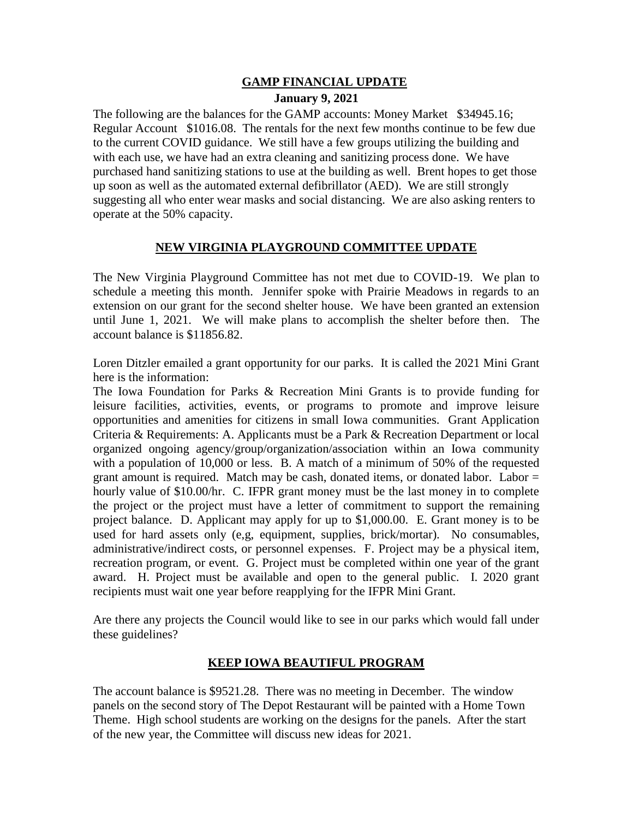## **GAMP FINANCIAL UPDATE January 9, 2021**

The following are the balances for the GAMP accounts: Money Market \$34945.16; Regular Account \$1016.08. The rentals for the next few months continue to be few due to the current COVID guidance. We still have a few groups utilizing the building and with each use, we have had an extra cleaning and sanitizing process done. We have purchased hand sanitizing stations to use at the building as well. Brent hopes to get those up soon as well as the automated external defibrillator (AED). We are still strongly suggesting all who enter wear masks and social distancing. We are also asking renters to operate at the 50% capacity.

## **NEW VIRGINIA PLAYGROUND COMMITTEE UPDATE**

The New Virginia Playground Committee has not met due to COVID-19. We plan to schedule a meeting this month. Jennifer spoke with Prairie Meadows in regards to an extension on our grant for the second shelter house. We have been granted an extension until June 1, 2021. We will make plans to accomplish the shelter before then. The account balance is \$11856.82.

Loren Ditzler emailed a grant opportunity for our parks. It is called the 2021 Mini Grant here is the information:

The Iowa Foundation for Parks & Recreation Mini Grants is to provide funding for leisure facilities, activities, events, or programs to promote and improve leisure opportunities and amenities for citizens in small Iowa communities. Grant Application Criteria & Requirements: A. Applicants must be a Park & Recreation Department or local organized ongoing agency/group/organization/association within an Iowa community with a population of 10,000 or less. B. A match of a minimum of 50% of the requested grant amount is required. Match may be cash, donated items, or donated labor. Labor = hourly value of \$10.00/hr. C. IFPR grant money must be the last money in to complete the project or the project must have a letter of commitment to support the remaining project balance. D. Applicant may apply for up to \$1,000.00. E. Grant money is to be used for hard assets only (e,g, equipment, supplies, brick/mortar). No consumables, administrative/indirect costs, or personnel expenses. F. Project may be a physical item, recreation program, or event. G. Project must be completed within one year of the grant award. H. Project must be available and open to the general public. I. 2020 grant recipients must wait one year before reapplying for the IFPR Mini Grant.

Are there any projects the Council would like to see in our parks which would fall under these guidelines?

## **KEEP IOWA BEAUTIFUL PROGRAM**

The account balance is \$9521.28. There was no meeting in December. The window panels on the second story of The Depot Restaurant will be painted with a Home Town Theme. High school students are working on the designs for the panels. After the start of the new year, the Committee will discuss new ideas for 2021.